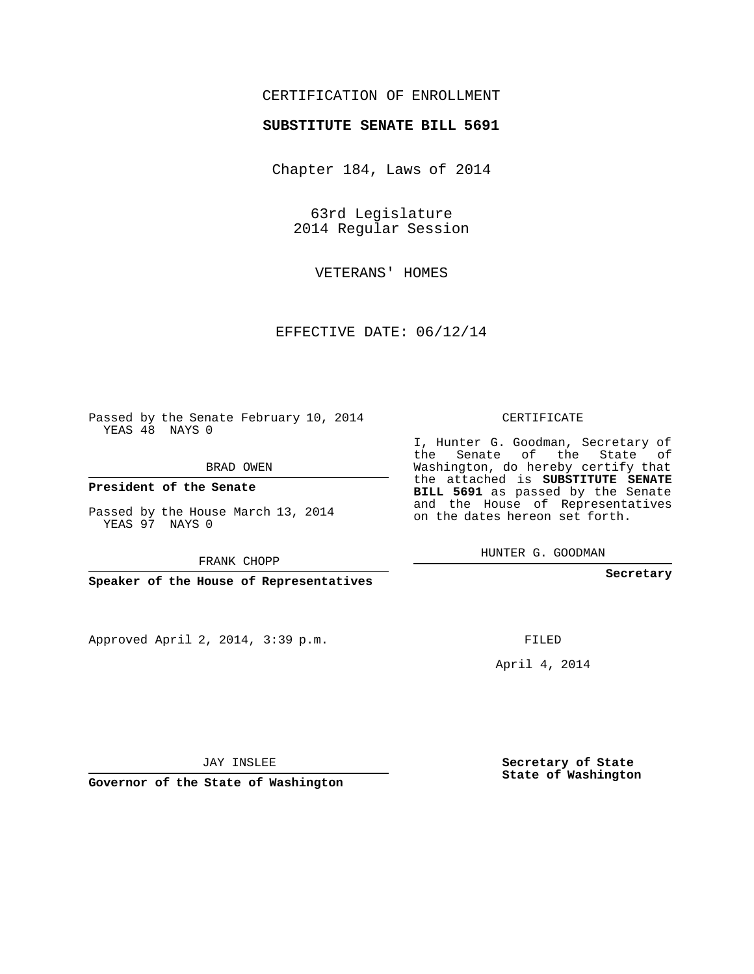## CERTIFICATION OF ENROLLMENT

## **SUBSTITUTE SENATE BILL 5691**

Chapter 184, Laws of 2014

63rd Legislature 2014 Regular Session

VETERANS' HOMES

EFFECTIVE DATE: 06/12/14

Passed by the Senate February 10, 2014 YEAS 48 NAYS 0

BRAD OWEN

**President of the Senate**

Passed by the House March 13, 2014 YEAS 97 NAYS 0

FRANK CHOPP

**Speaker of the House of Representatives**

Approved April 2, 2014, 3:39 p.m.

CERTIFICATE

I, Hunter G. Goodman, Secretary of the Senate of the State of Washington, do hereby certify that the attached is **SUBSTITUTE SENATE BILL 5691** as passed by the Senate and the House of Representatives on the dates hereon set forth.

HUNTER G. GOODMAN

**Secretary**

FILED

April 4, 2014

JAY INSLEE

**Governor of the State of Washington**

**Secretary of State State of Washington**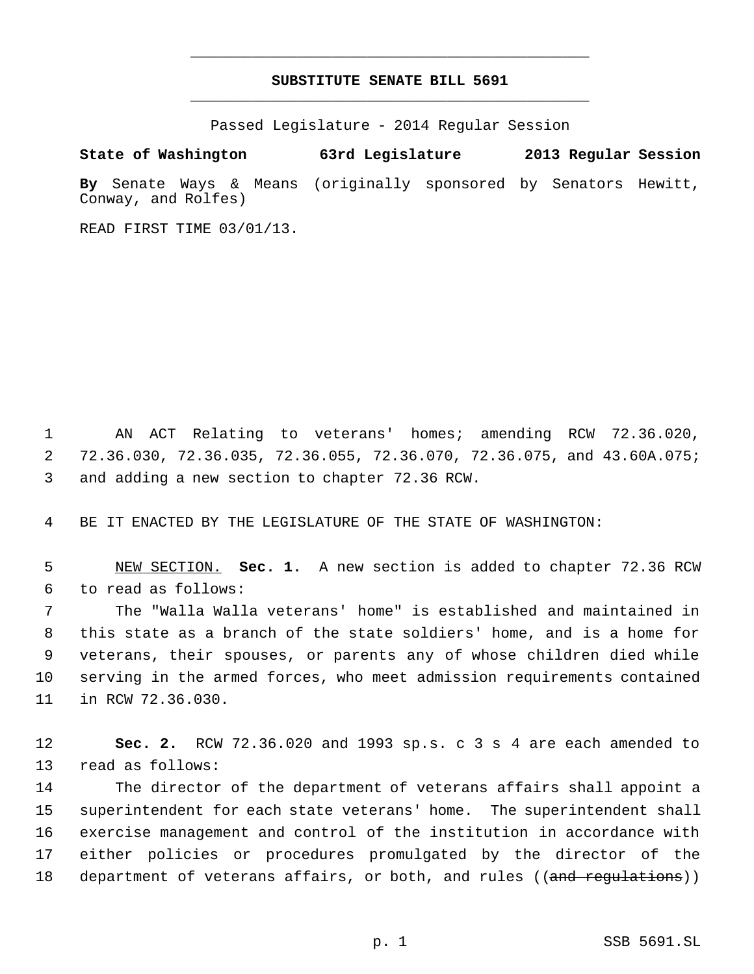## **SUBSTITUTE SENATE BILL 5691** \_\_\_\_\_\_\_\_\_\_\_\_\_\_\_\_\_\_\_\_\_\_\_\_\_\_\_\_\_\_\_\_\_\_\_\_\_\_\_\_\_\_\_\_\_

\_\_\_\_\_\_\_\_\_\_\_\_\_\_\_\_\_\_\_\_\_\_\_\_\_\_\_\_\_\_\_\_\_\_\_\_\_\_\_\_\_\_\_\_\_

Passed Legislature - 2014 Regular Session

**State of Washington 63rd Legislature 2013 Regular Session By** Senate Ways & Means (originally sponsored by Senators Hewitt,

READ FIRST TIME 03/01/13.

Conway, and Rolfes)

 AN ACT Relating to veterans' homes; amending RCW 72.36.020, 72.36.030, 72.36.035, 72.36.055, 72.36.070, 72.36.075, and 43.60A.075; and adding a new section to chapter 72.36 RCW.

BE IT ENACTED BY THE LEGISLATURE OF THE STATE OF WASHINGTON:

 NEW SECTION. **Sec. 1.** A new section is added to chapter 72.36 RCW to read as follows:

 The "Walla Walla veterans' home" is established and maintained in this state as a branch of the state soldiers' home, and is a home for veterans, their spouses, or parents any of whose children died while serving in the armed forces, who meet admission requirements contained in RCW 72.36.030.

 **Sec. 2.** RCW 72.36.020 and 1993 sp.s. c 3 s 4 are each amended to read as follows:

 The director of the department of veterans affairs shall appoint a superintendent for each state veterans' home. The superintendent shall exercise management and control of the institution in accordance with either policies or procedures promulgated by the director of the 18 department of veterans affairs, or both, and rules ((and regulations))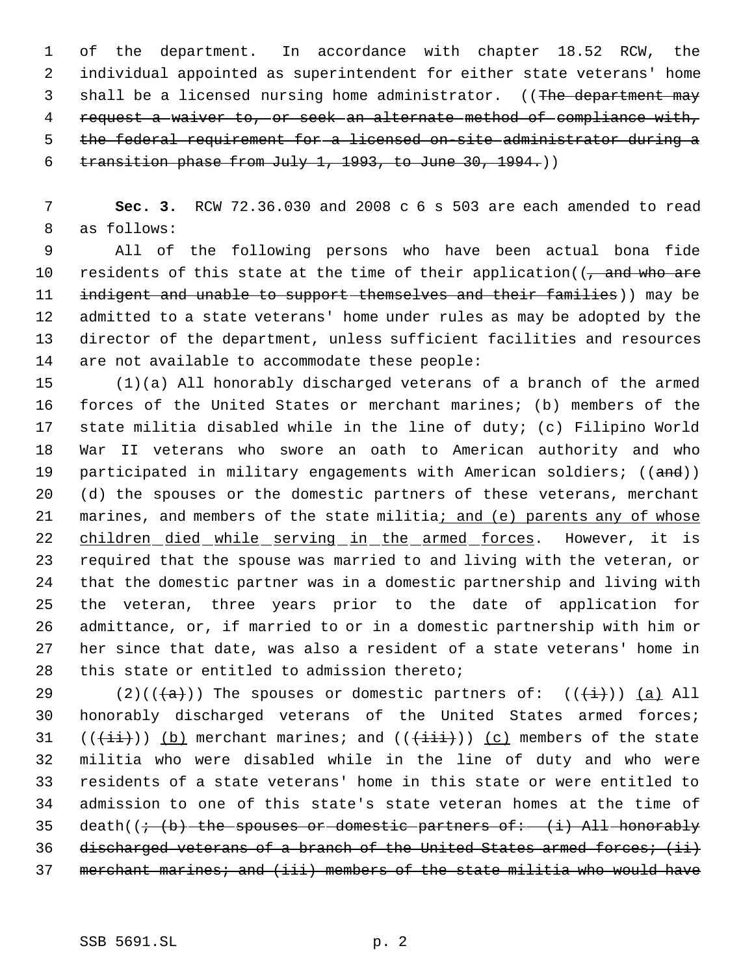of the department. In accordance with chapter 18.52 RCW, the individual appointed as superintendent for either state veterans' home 3 shall be a licensed nursing home administrator. ((The department may request a waiver to, or seek an alternate method of compliance with, the federal requirement for a licensed on-site administrator during a transition phase from July 1, 1993, to June 30, 1994.))

 **Sec. 3.** RCW 72.36.030 and 2008 c 6 s 503 are each amended to read as follows:

 All of the following persons who have been actual bona fide 10 residents of this state at the time of their application( $\overline{(-\text{and who are}}$ 11 indigent and unable to support themselves and their families)) may be admitted to a state veterans' home under rules as may be adopted by the director of the department, unless sufficient facilities and resources are not available to accommodate these people:

 (1)(a) All honorably discharged veterans of a branch of the armed forces of the United States or merchant marines; (b) members of the state militia disabled while in the line of duty; (c) Filipino World War II veterans who swore an oath to American authority and who 19 participated in military engagements with American soldiers; ((and)) (d) the spouses or the domestic partners of these veterans, merchant 21 marines, and members of the state militia; and (e) parents any of whose 22 children died while serving in the armed forces. However, it is required that the spouse was married to and living with the veteran, or that the domestic partner was in a domestic partnership and living with the veteran, three years prior to the date of application for admittance, or, if married to or in a domestic partnership with him or her since that date, was also a resident of a state veterans' home in this state or entitled to admission thereto;

29 (2)(( $\frac{1}{a}$ )) The spouses or domestic partners of: ( $\frac{1}{1}$ )) (a) All honorably discharged veterans of the United States armed forces; 31  $((\overrightarrow{ii}))$  (b) merchant marines; and  $((\overrightarrow{iii}))$  (c) members of the state militia who were disabled while in the line of duty and who were residents of a state veterans' home in this state or were entitled to admission to one of this state's state veteran homes at the time of 35 death( $\left(\frac{1}{2}, \frac{1}{2}\right)$  the spouses or domestic partners of: (i) All honorably 36 discharged veterans of a branch of the United States armed forces; (ii) 37 merchant marines; and (iii) members of the state militia who would have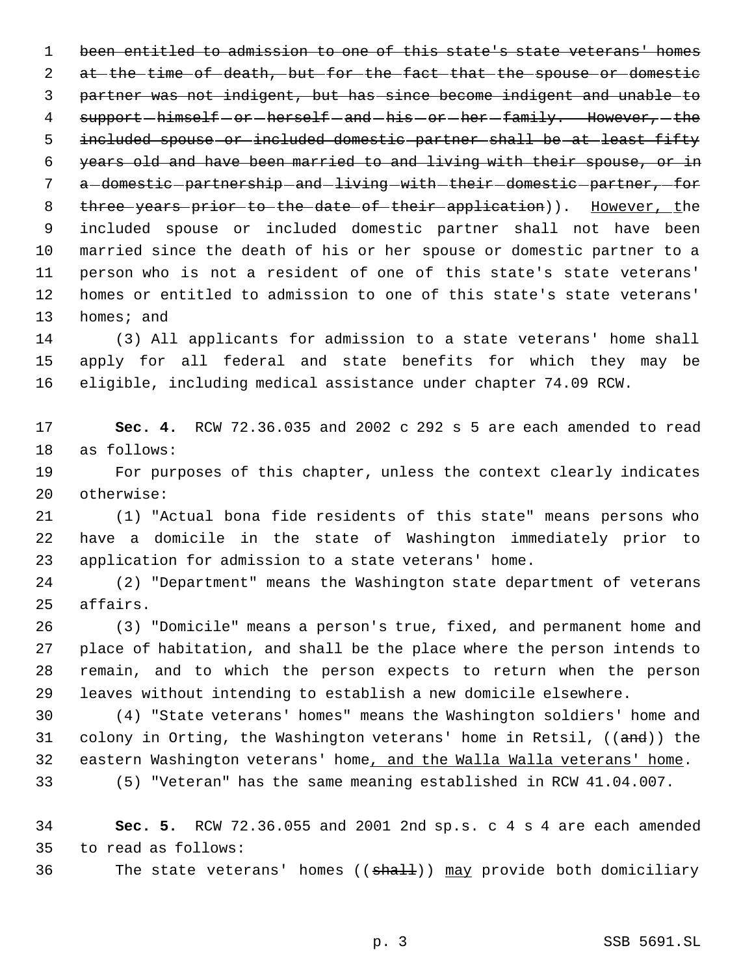been entitled to admission to one of this state's state veterans' homes 2 at the time of death, but for the fact that the spouse or domestic partner was not indigent, but has since become indigent and unable to 4 support-himself-or-herself-and-his-or-her-family. However,-the 5 included spouse or included domestic partner shall be at least fifty years old and have been married to and living with their spouse, or in 7 a-domestic-partnership-and-living-with-their-domestic-partner,-for 8 three years prior to the date of their application)). However, the included spouse or included domestic partner shall not have been married since the death of his or her spouse or domestic partner to a person who is not a resident of one of this state's state veterans' homes or entitled to admission to one of this state's state veterans' homes; and

 (3) All applicants for admission to a state veterans' home shall apply for all federal and state benefits for which they may be eligible, including medical assistance under chapter 74.09 RCW.

 **Sec. 4.** RCW 72.36.035 and 2002 c 292 s 5 are each amended to read as follows:

 For purposes of this chapter, unless the context clearly indicates otherwise:

 (1) "Actual bona fide residents of this state" means persons who have a domicile in the state of Washington immediately prior to application for admission to a state veterans' home.

 (2) "Department" means the Washington state department of veterans affairs.

 (3) "Domicile" means a person's true, fixed, and permanent home and place of habitation, and shall be the place where the person intends to remain, and to which the person expects to return when the person leaves without intending to establish a new domicile elsewhere.

 (4) "State veterans' homes" means the Washington soldiers' home and 31 colony in Orting, the Washington veterans' home in Retsil, ((and)) the 32 eastern Washington veterans' home, and the Walla Walla veterans' home.

(5) "Veteran" has the same meaning established in RCW 41.04.007.

 **Sec. 5.** RCW 72.36.055 and 2001 2nd sp.s. c 4 s 4 are each amended to read as follows:

36 The state veterans' homes ((shall)) may provide both domiciliary